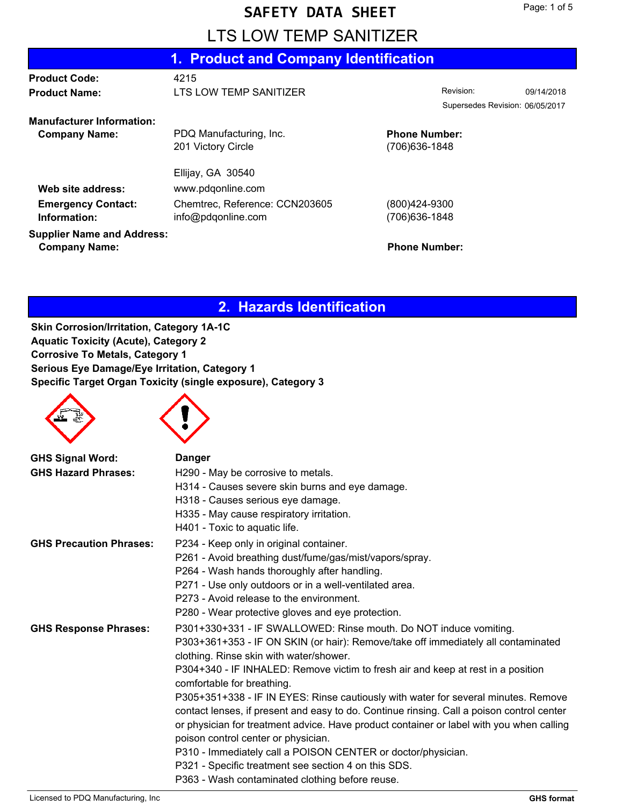# LTS LOW TEMP SANITIZER

|                                   | 1. Product and Company Identification |                                 |  |
|-----------------------------------|---------------------------------------|---------------------------------|--|
| <b>Product Code:</b>              | 4215                                  |                                 |  |
| <b>Product Name:</b>              | LTS LOW TEMP SANITIZER                | Revision:<br>09/14/2018         |  |
|                                   |                                       | Supersedes Revision: 06/05/2017 |  |
| <b>Manufacturer Information:</b>  |                                       |                                 |  |
| <b>Company Name:</b>              | PDQ Manufacturing, Inc.               | <b>Phone Number:</b>            |  |
|                                   | 201 Victory Circle                    | (706) 636-1848                  |  |
|                                   | Ellijay, GA 30540                     |                                 |  |
| Web site address:                 | www.pdqonline.com                     |                                 |  |
| <b>Emergency Contact:</b>         | Chemtrec, Reference: CCN203605        | (800)424-9300                   |  |
| Information:                      | info@pdqonline.com                    | (706) 636-1848                  |  |
| <b>Supplier Name and Address:</b> |                                       |                                 |  |
| <b>Company Name:</b>              |                                       | <b>Phone Number:</b>            |  |

#### **2. Hazards Identification**

**Skin Corrosion/Irritation, Category 1A-1C Aquatic Toxicity (Acute), Category 2 Corrosive To Metals, Category 1 Serious Eye Damage/Eye Irritation, Category 1 Specific Target Organ Toxicity (single exposure), Category 3**

| <b>GHS Signal Word:</b>        | <b>Danger</b>                                                                             |
|--------------------------------|-------------------------------------------------------------------------------------------|
| <b>GHS Hazard Phrases:</b>     | H290 - May be corrosive to metals.                                                        |
|                                | H314 - Causes severe skin burns and eye damage.                                           |
|                                | H318 - Causes serious eye damage.                                                         |
|                                | H335 - May cause respiratory irritation.                                                  |
|                                | H401 - Toxic to aquatic life.                                                             |
| <b>GHS Precaution Phrases:</b> | P234 - Keep only in original container.                                                   |
|                                | P261 - Avoid breathing dust/fume/gas/mist/vapors/spray.                                   |
|                                | P264 - Wash hands thoroughly after handling.                                              |
|                                | P271 - Use only outdoors or in a well-ventilated area.                                    |
|                                | P273 - Avoid release to the environment.                                                  |
|                                | P280 - Wear protective gloves and eye protection.                                         |
| <b>GHS Response Phrases:</b>   | P301+330+331 - IF SWALLOWED: Rinse mouth. Do NOT induce vomiting.                         |
|                                | P303+361+353 - IF ON SKIN (or hair): Remove/take off immediately all contaminated         |
|                                | clothing. Rinse skin with water/shower.                                                   |
|                                | P304+340 - IF INHALED: Remove victim to fresh air and keep at rest in a position          |
|                                | comfortable for breathing.                                                                |
|                                | P305+351+338 - IF IN EYES: Rinse cautiously with water for several minutes. Remove        |
|                                | contact lenses, if present and easy to do. Continue rinsing. Call a poison control center |
|                                | or physician for treatment advice. Have product container or label with you when calling  |
|                                | poison control center or physician.                                                       |
|                                | P310 - Immediately call a POISON CENTER or doctor/physician.                              |
|                                | P321 - Specific treatment see section 4 on this SDS.                                      |
|                                | P363 - Wash contaminated clothing before reuse.                                           |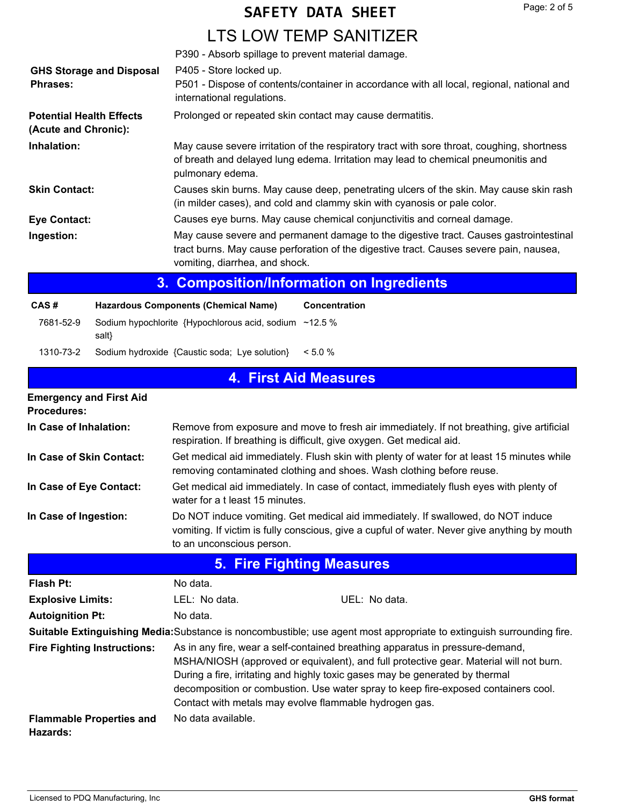## LTS LOW TEMP SANITIZER

| О.                                                      | Composition/Information on Ingradiante                                                                                                                                                                            |
|---------------------------------------------------------|-------------------------------------------------------------------------------------------------------------------------------------------------------------------------------------------------------------------|
| Ingestion:                                              | May cause severe and permanent damage to the digestive tract. Causes gastrointestinal<br>tract burns. May cause perforation of the digestive tract. Causes severe pain, nausea,<br>vomiting, diarrhea, and shock. |
| <b>Eye Contact:</b>                                     | Causes eye burns. May cause chemical conjunctivitis and corneal damage.                                                                                                                                           |
| <b>Skin Contact:</b>                                    | Causes skin burns. May cause deep, penetrating ulcers of the skin. May cause skin rash<br>(in milder cases), and cold and clammy skin with cyanosis or pale color.                                                |
| Inhalation:                                             | May cause severe irritation of the respiratory tract with sore throat, coughing, shortness<br>of breath and delayed lung edema. Irritation may lead to chemical pneumonitis and<br>pulmonary edema.               |
| <b>Potential Health Effects</b><br>(Acute and Chronic): | Prolonged or repeated skin contact may cause dermatitis.                                                                                                                                                          |
| <b>GHS Storage and Disposal</b><br><b>Phrases:</b>      | P405 - Store locked up.<br>P501 - Dispose of contents/container in accordance with all local, regional, national and<br>international regulations.                                                                |
|                                                         | P390 - Absorb spillage to prevent material damage.                                                                                                                                                                |

#### **3. Composition/Information on Ingredients**

| CAS#      | <b>Hazardous Components (Chemical Name)</b>                           | Concentration |
|-----------|-----------------------------------------------------------------------|---------------|
| 7681-52-9 | Sodium hypochlorite {Hypochlorous acid, sodium $\sim$ 12.5 %<br>salt} |               |
| 1310-73-2 | Sodium hydroxide {Caustic soda; Lye solution}                         | $< 5.0 \%$    |

### **4. First Aid Measures**

| <b>Emergency and First Aid</b><br><b>Procedures:</b> |                                                                                                                                                                     |                                                                                                                                                                                                                                                                                                                                                                                                         |  |
|------------------------------------------------------|---------------------------------------------------------------------------------------------------------------------------------------------------------------------|---------------------------------------------------------------------------------------------------------------------------------------------------------------------------------------------------------------------------------------------------------------------------------------------------------------------------------------------------------------------------------------------------------|--|
| In Case of Inhalation:                               |                                                                                                                                                                     | Remove from exposure and move to fresh air immediately. If not breathing, give artificial<br>respiration. If breathing is difficult, give oxygen. Get medical aid.                                                                                                                                                                                                                                      |  |
| In Case of Skin Contact:                             | Get medical aid immediately. Flush skin with plenty of water for at least 15 minutes while<br>removing contaminated clothing and shoes. Wash clothing before reuse. |                                                                                                                                                                                                                                                                                                                                                                                                         |  |
| In Case of Eye Contact:                              | Get medical aid immediately. In case of contact, immediately flush eyes with plenty of<br>water for a t least 15 minutes.                                           |                                                                                                                                                                                                                                                                                                                                                                                                         |  |
| In Case of Ingestion:                                | to an unconscious person.                                                                                                                                           | Do NOT induce vomiting. Get medical aid immediately. If swallowed, do NOT induce<br>vomiting. If victim is fully conscious, give a cupful of water. Never give anything by mouth                                                                                                                                                                                                                        |  |
|                                                      |                                                                                                                                                                     | <b>5. Fire Fighting Measures</b>                                                                                                                                                                                                                                                                                                                                                                        |  |
| <b>Flash Pt:</b>                                     | No data.                                                                                                                                                            |                                                                                                                                                                                                                                                                                                                                                                                                         |  |
| <b>Explosive Limits:</b>                             | LEL: No data.                                                                                                                                                       | UEL: No data.                                                                                                                                                                                                                                                                                                                                                                                           |  |
| <b>Autoignition Pt:</b>                              | No data.                                                                                                                                                            |                                                                                                                                                                                                                                                                                                                                                                                                         |  |
|                                                      |                                                                                                                                                                     | Suitable Extinguishing Media: Substance is noncombustible; use agent most appropriate to extinguish surrounding fire.                                                                                                                                                                                                                                                                                   |  |
| <b>Fire Fighting Instructions:</b>                   |                                                                                                                                                                     | As in any fire, wear a self-contained breathing apparatus in pressure-demand,<br>MSHA/NIOSH (approved or equivalent), and full protective gear. Material will not burn.<br>During a fire, irritating and highly toxic gases may be generated by thermal<br>decomposition or combustion. Use water spray to keep fire-exposed containers cool.<br>Contact with metals may evolve flammable hydrogen gas. |  |
| <b>Flammable Properties and</b><br>Hazards:          | No data available.                                                                                                                                                  |                                                                                                                                                                                                                                                                                                                                                                                                         |  |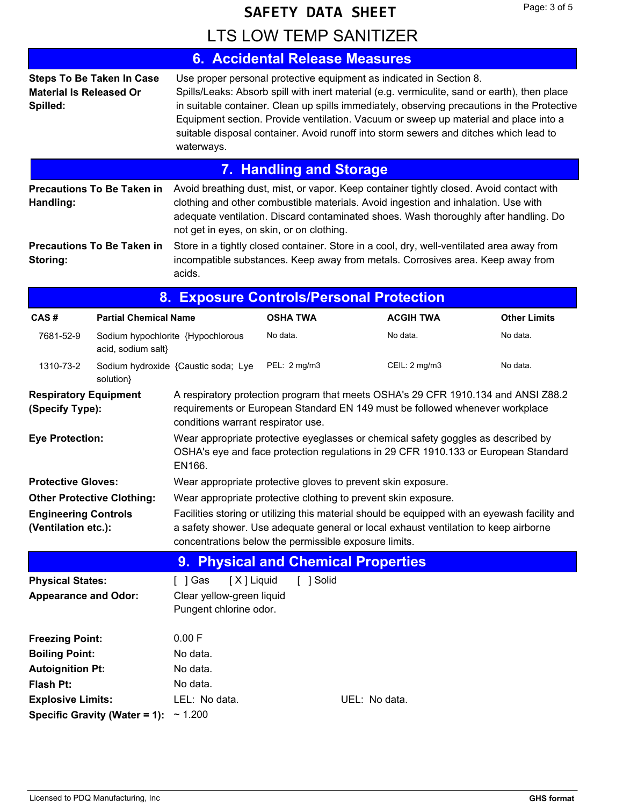LTS LOW TEMP SANITIZER

|                                                    |                                   |                                                                                                                                                                                                                                                                                                                                                                                                                                                                   | <b>6. Accidental Release Measures</b> |                                                                                                                                                                                                                                                                       |                     |
|----------------------------------------------------|-----------------------------------|-------------------------------------------------------------------------------------------------------------------------------------------------------------------------------------------------------------------------------------------------------------------------------------------------------------------------------------------------------------------------------------------------------------------------------------------------------------------|---------------------------------------|-----------------------------------------------------------------------------------------------------------------------------------------------------------------------------------------------------------------------------------------------------------------------|---------------------|
| <b>Material Is Released Or</b><br>Spilled:         | <b>Steps To Be Taken In Case</b>  | Use proper personal protective equipment as indicated in Section 8.<br>Spills/Leaks: Absorb spill with inert material (e.g. vermiculite, sand or earth), then place<br>in suitable container. Clean up spills immediately, observing precautions in the Protective<br>Equipment section. Provide ventilation. Vacuum or sweep up material and place into a<br>suitable disposal container. Avoid runoff into storm sewers and ditches which lead to<br>waterways. |                                       |                                                                                                                                                                                                                                                                       |                     |
|                                                    |                                   |                                                                                                                                                                                                                                                                                                                                                                                                                                                                   | <b>7. Handling and Storage</b>        |                                                                                                                                                                                                                                                                       |                     |
| Handling:                                          | <b>Precautions To Be Taken in</b> | not get in eyes, on skin, or on clothing.                                                                                                                                                                                                                                                                                                                                                                                                                         |                                       | Avoid breathing dust, mist, or vapor. Keep container tightly closed. Avoid contact with<br>clothing and other combustible materials. Avoid ingestion and inhalation. Use with<br>adequate ventilation. Discard contaminated shoes. Wash thoroughly after handling. Do |                     |
| Storing:                                           | <b>Precautions To Be Taken in</b> | acids.                                                                                                                                                                                                                                                                                                                                                                                                                                                            |                                       | Store in a tightly closed container. Store in a cool, dry, well-ventilated area away from<br>incompatible substances. Keep away from metals. Corrosives area. Keep away from                                                                                          |                     |
|                                                    |                                   |                                                                                                                                                                                                                                                                                                                                                                                                                                                                   |                                       | 8. Exposure Controls/Personal Protection                                                                                                                                                                                                                              |                     |
| CAS#                                               | <b>Partial Chemical Name</b>      |                                                                                                                                                                                                                                                                                                                                                                                                                                                                   | <b>OSHA TWA</b>                       | <b>ACGIH TWA</b>                                                                                                                                                                                                                                                      | <b>Other Limits</b> |
| 7681-52-9                                          | acid, sodium salt}                | Sodium hypochlorite {Hypochlorous                                                                                                                                                                                                                                                                                                                                                                                                                                 | No data.                              | No data.                                                                                                                                                                                                                                                              | No data.            |
| 1310-73-2                                          | solution}                         | Sodium hydroxide {Caustic soda; Lye                                                                                                                                                                                                                                                                                                                                                                                                                               | PEL: 2 mg/m3                          | CEIL: 2 mg/m3                                                                                                                                                                                                                                                         | No data.            |
| <b>Respiratory Equipment</b><br>(Specify Type):    |                                   | conditions warrant respirator use.                                                                                                                                                                                                                                                                                                                                                                                                                                |                                       | A respiratory protection program that meets OSHA's 29 CFR 1910.134 and ANSI Z88.2<br>requirements or European Standard EN 149 must be followed whenever workplace                                                                                                     |                     |
| <b>Eye Protection:</b>                             |                                   | EN166.                                                                                                                                                                                                                                                                                                                                                                                                                                                            |                                       | Wear appropriate protective eyeglasses or chemical safety goggles as described by<br>OSHA's eye and face protection regulations in 29 CFR 1910.133 or European Standard                                                                                               |                     |
| <b>Protective Gloves:</b>                          |                                   |                                                                                                                                                                                                                                                                                                                                                                                                                                                                   |                                       | Wear appropriate protective gloves to prevent skin exposure.                                                                                                                                                                                                          |                     |
|                                                    | <b>Other Protective Clothing:</b> | Wear appropriate protective clothing to prevent skin exposure.                                                                                                                                                                                                                                                                                                                                                                                                    |                                       |                                                                                                                                                                                                                                                                       |                     |
| <b>Engineering Controls</b><br>(Ventilation etc.): |                                   | concentrations below the permissible exposure limits.                                                                                                                                                                                                                                                                                                                                                                                                             |                                       | Facilities storing or utilizing this material should be equipped with an eyewash facility and<br>a safety shower. Use adequate general or local exhaust ventilation to keep airborne                                                                                  |                     |
|                                                    |                                   |                                                                                                                                                                                                                                                                                                                                                                                                                                                                   | 9. Physical and Chemical Properties   |                                                                                                                                                                                                                                                                       |                     |
| <b>Physical States:</b>                            |                                   | [ ] Gas<br>[X] Liquid                                                                                                                                                                                                                                                                                                                                                                                                                                             | [ ] Solid                             |                                                                                                                                                                                                                                                                       |                     |
| <b>Appearance and Odor:</b>                        |                                   | Clear yellow-green liquid<br>Pungent chlorine odor.                                                                                                                                                                                                                                                                                                                                                                                                               |                                       |                                                                                                                                                                                                                                                                       |                     |
| <b>Freezing Point:</b>                             |                                   | 0.00 F                                                                                                                                                                                                                                                                                                                                                                                                                                                            |                                       |                                                                                                                                                                                                                                                                       |                     |
| <b>Boiling Point:</b>                              |                                   | No data.                                                                                                                                                                                                                                                                                                                                                                                                                                                          |                                       |                                                                                                                                                                                                                                                                       |                     |
| <b>Autoignition Pt:</b>                            |                                   | No data.                                                                                                                                                                                                                                                                                                                                                                                                                                                          |                                       |                                                                                                                                                                                                                                                                       |                     |
| Flash Pt:                                          |                                   | No data.                                                                                                                                                                                                                                                                                                                                                                                                                                                          |                                       |                                                                                                                                                                                                                                                                       |                     |
| <b>Explosive Limits:</b>                           |                                   | LEL: No data.<br>UEL: No data.                                                                                                                                                                                                                                                                                                                                                                                                                                    |                                       |                                                                                                                                                                                                                                                                       |                     |
|                                                    | Specific Gravity (Water = 1):     | ~1.200                                                                                                                                                                                                                                                                                                                                                                                                                                                            |                                       |                                                                                                                                                                                                                                                                       |                     |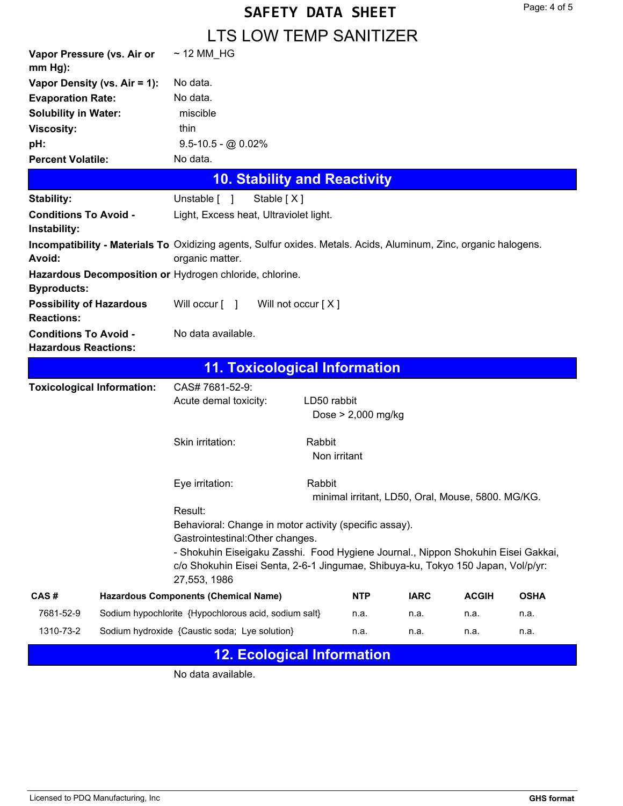### LTS LOW TEMP SANITIZER

| Vapor Pressure (vs. Air or<br>$mm Hg$ :              | $\sim$ 12 MM_HG                                                                                                                                                                                                                                                                                |                                      |                                                  |              |             |
|------------------------------------------------------|------------------------------------------------------------------------------------------------------------------------------------------------------------------------------------------------------------------------------------------------------------------------------------------------|--------------------------------------|--------------------------------------------------|--------------|-------------|
| Vapor Density (vs. Air = 1):                         | No data.                                                                                                                                                                                                                                                                                       |                                      |                                                  |              |             |
| <b>Evaporation Rate:</b>                             | No data.                                                                                                                                                                                                                                                                                       |                                      |                                                  |              |             |
| <b>Solubility in Water:</b>                          | miscible                                                                                                                                                                                                                                                                                       |                                      |                                                  |              |             |
| <b>Viscosity:</b>                                    | thin                                                                                                                                                                                                                                                                                           |                                      |                                                  |              |             |
| pH:                                                  | $9.5 - 10.5 - @0.02\%$                                                                                                                                                                                                                                                                         |                                      |                                                  |              |             |
| <b>Percent Volatile:</b>                             | No data.                                                                                                                                                                                                                                                                                       |                                      |                                                  |              |             |
|                                                      |                                                                                                                                                                                                                                                                                                | <b>10. Stability and Reactivity</b>  |                                                  |              |             |
| <b>Stability:</b>                                    | Unstable [ ]<br>Stable [X]                                                                                                                                                                                                                                                                     |                                      |                                                  |              |             |
| <b>Conditions To Avoid -</b><br>Instability:         | Light, Excess heat, Ultraviolet light.                                                                                                                                                                                                                                                         |                                      |                                                  |              |             |
| <b>Avoid:</b>                                        | Incompatibility - Materials To Oxidizing agents, Sulfur oxides. Metals. Acids, Aluminum, Zinc, organic halogens.<br>organic matter.                                                                                                                                                            |                                      |                                                  |              |             |
| <b>Byproducts:</b>                                   | Hazardous Decomposition or Hydrogen chloride, chlorine.                                                                                                                                                                                                                                        |                                      |                                                  |              |             |
| <b>Possibility of Hazardous</b><br><b>Reactions:</b> | Will occur [ ]                                                                                                                                                                                                                                                                                 | Will not occur $[X]$                 |                                                  |              |             |
| <b>Conditions To Avoid -</b>                         | No data available.                                                                                                                                                                                                                                                                             |                                      |                                                  |              |             |
| <b>Hazardous Reactions:</b>                          |                                                                                                                                                                                                                                                                                                |                                      |                                                  |              |             |
|                                                      |                                                                                                                                                                                                                                                                                                | <b>11. Toxicological Information</b> |                                                  |              |             |
| <b>Toxicological Information:</b>                    | CAS# 7681-52-9:                                                                                                                                                                                                                                                                                |                                      |                                                  |              |             |
|                                                      | Acute demal toxicity:                                                                                                                                                                                                                                                                          | LD50 rabbit<br>Dose $> 2,000$ mg/kg  |                                                  |              |             |
|                                                      | Skin irritation:                                                                                                                                                                                                                                                                               | Rabbit<br>Non irritant               |                                                  |              |             |
|                                                      | Eye irritation:                                                                                                                                                                                                                                                                                | Rabbit                               | minimal irritant, LD50, Oral, Mouse, 5800. MG/KG |              |             |
|                                                      | Result:<br>Behavioral: Change in motor activity (specific assay).<br>Gastrointestinal: Other changes.<br>- Shokuhin Eiseigaku Zasshi. Food Hygiene Journal., Nippon Shokuhin Eisei Gakkai,<br>c/o Shokuhin Eisei Senta, 2-6-1 Jingumae, Shibuya-ku, Tokyo 150 Japan, Vol/p/yr:<br>27,553, 1986 |                                      |                                                  |              |             |
| CAS#                                                 | <b>Hazardous Components (Chemical Name)</b>                                                                                                                                                                                                                                                    | <b>NTP</b>                           | <b>IARC</b>                                      | <b>ACGIH</b> | <b>OSHA</b> |
| 7681-52-9                                            | Sodium hypochlorite {Hypochlorous acid, sodium salt}                                                                                                                                                                                                                                           | n.a.                                 | n.a.                                             | n.a.         | n.a.        |

### **12. Ecological Information**

No data available.